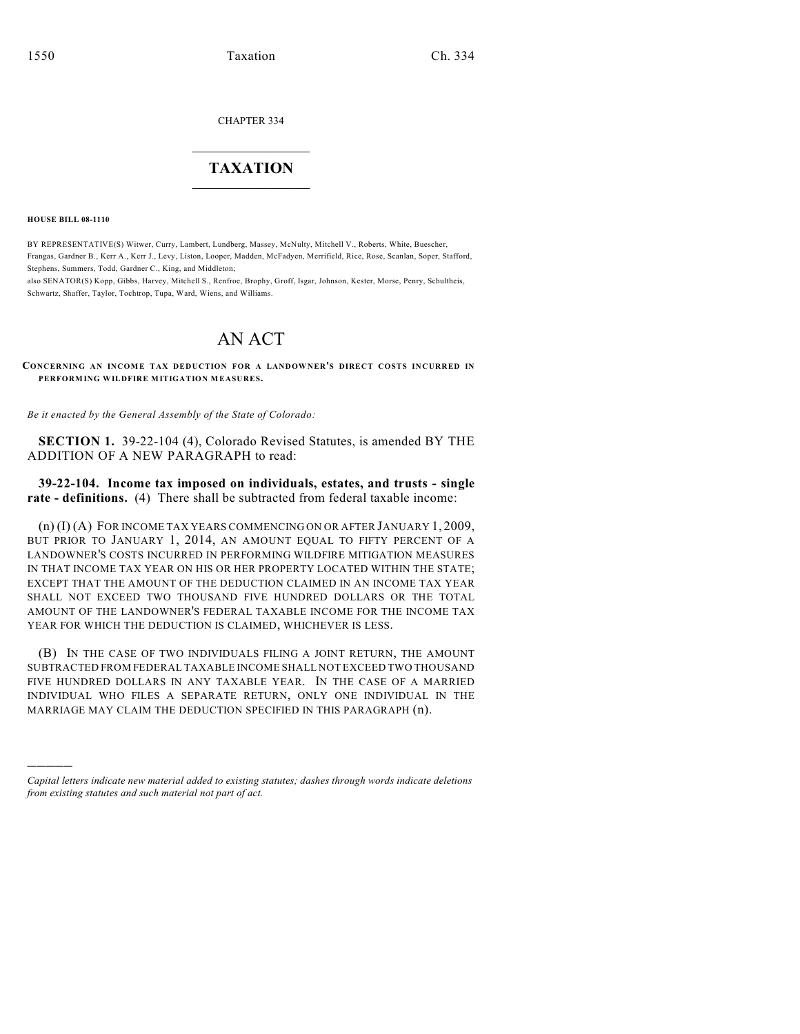CHAPTER 334

## $\mathcal{L}_\text{max}$  . The set of the set of the set of the set of the set of the set of the set of the set of the set of the set of the set of the set of the set of the set of the set of the set of the set of the set of the set **TAXATION**  $\_$

**HOUSE BILL 08-1110**

)))))

BY REPRESENTATIVE(S) Witwer, Curry, Lambert, Lundberg, Massey, McNulty, Mitchell V., Roberts, White, Buescher, Frangas, Gardner B., Kerr A., Kerr J., Levy, Liston, Looper, Madden, McFadyen, Merrifield, Rice, Rose, Scanlan, Soper, Stafford, Stephens, Summers, Todd, Gardner C., King, and Middleton; also SENATOR(S) Kopp, Gibbs, Harvey, Mitchell S., Renfroe, Brophy, Groff, Isgar, Johnson, Kester, Morse, Penry, Schultheis,

Schwartz, Shaffer, Taylor, Tochtrop, Tupa, Ward, Wiens, and Williams.

## AN ACT

**CONCERNING AN INCOME TAX DEDUCTION FOR A LANDOWNER'S DIRECT COSTS INCURRED IN PERFORMING WILDFIRE MITIGATION MEASURES.**

*Be it enacted by the General Assembly of the State of Colorado:*

**SECTION 1.** 39-22-104 (4), Colorado Revised Statutes, is amended BY THE ADDITION OF A NEW PARAGRAPH to read:

**39-22-104. Income tax imposed on individuals, estates, and trusts - single rate - definitions.** (4) There shall be subtracted from federal taxable income:

(n) (I) (A) FOR INCOME TAX YEARS COMMENCING ON OR AFTER JANUARY 1, 2009, BUT PRIOR TO JANUARY 1, 2014, AN AMOUNT EQUAL TO FIFTY PERCENT OF A LANDOWNER'S COSTS INCURRED IN PERFORMING WILDFIRE MITIGATION MEASURES IN THAT INCOME TAX YEAR ON HIS OR HER PROPERTY LOCATED WITHIN THE STATE; EXCEPT THAT THE AMOUNT OF THE DEDUCTION CLAIMED IN AN INCOME TAX YEAR SHALL NOT EXCEED TWO THOUSAND FIVE HUNDRED DOLLARS OR THE TOTAL AMOUNT OF THE LANDOWNER'S FEDERAL TAXABLE INCOME FOR THE INCOME TAX YEAR FOR WHICH THE DEDUCTION IS CLAIMED, WHICHEVER IS LESS.

(B) IN THE CASE OF TWO INDIVIDUALS FILING A JOINT RETURN, THE AMOUNT SUBTRACTED FROM FEDERAL TAXABLE INCOME SHALL NOT EXCEED TWO THOUSAND FIVE HUNDRED DOLLARS IN ANY TAXABLE YEAR. IN THE CASE OF A MARRIED INDIVIDUAL WHO FILES A SEPARATE RETURN, ONLY ONE INDIVIDUAL IN THE MARRIAGE MAY CLAIM THE DEDUCTION SPECIFIED IN THIS PARAGRAPH (n).

*Capital letters indicate new material added to existing statutes; dashes through words indicate deletions from existing statutes and such material not part of act.*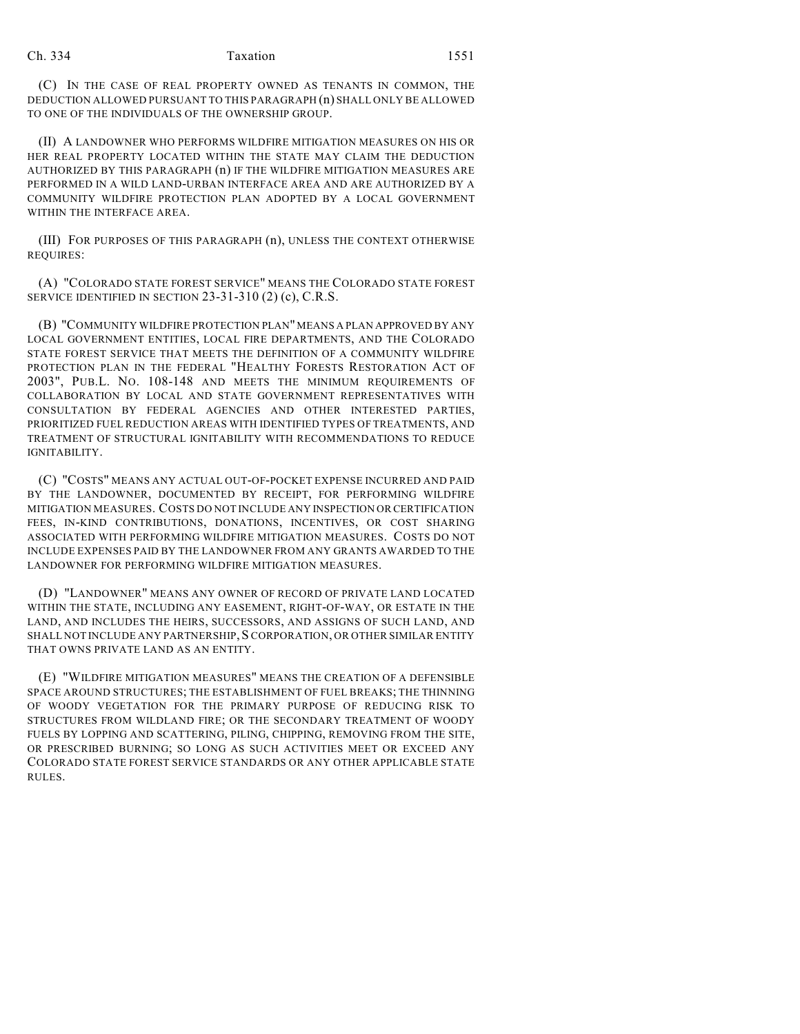(C) IN THE CASE OF REAL PROPERTY OWNED AS TENANTS IN COMMON, THE DEDUCTION ALLOWED PURSUANT TO THIS PARAGRAPH (n) SHALL ONLY BE ALLOWED TO ONE OF THE INDIVIDUALS OF THE OWNERSHIP GROUP.

(II) A LANDOWNER WHO PERFORMS WILDFIRE MITIGATION MEASURES ON HIS OR HER REAL PROPERTY LOCATED WITHIN THE STATE MAY CLAIM THE DEDUCTION AUTHORIZED BY THIS PARAGRAPH (n) IF THE WILDFIRE MITIGATION MEASURES ARE PERFORMED IN A WILD LAND-URBAN INTERFACE AREA AND ARE AUTHORIZED BY A COMMUNITY WILDFIRE PROTECTION PLAN ADOPTED BY A LOCAL GOVERNMENT WITHIN THE INTERFACE AREA.

(III) FOR PURPOSES OF THIS PARAGRAPH (n), UNLESS THE CONTEXT OTHERWISE REQUIRES:

(A) "COLORADO STATE FOREST SERVICE" MEANS THE COLORADO STATE FOREST SERVICE IDENTIFIED IN SECTION 23-31-310 (2) (c), C.R.S.

(B) "COMMUNITY WILDFIRE PROTECTION PLAN" MEANS A PLAN APPROVED BY ANY LOCAL GOVERNMENT ENTITIES, LOCAL FIRE DEPARTMENTS, AND THE COLORADO STATE FOREST SERVICE THAT MEETS THE DEFINITION OF A COMMUNITY WILDFIRE PROTECTION PLAN IN THE FEDERAL "HEALTHY FORESTS RESTORATION ACT OF 2003", PUB.L. NO. 108-148 AND MEETS THE MINIMUM REQUIREMENTS OF COLLABORATION BY LOCAL AND STATE GOVERNMENT REPRESENTATIVES WITH CONSULTATION BY FEDERAL AGENCIES AND OTHER INTERESTED PARTIES, PRIORITIZED FUEL REDUCTION AREAS WITH IDENTIFIED TYPES OF TREATMENTS, AND TREATMENT OF STRUCTURAL IGNITABILITY WITH RECOMMENDATIONS TO REDUCE IGNITABILITY.

(C) "COSTS" MEANS ANY ACTUAL OUT-OF-POCKET EXPENSE INCURRED AND PAID BY THE LANDOWNER, DOCUMENTED BY RECEIPT, FOR PERFORMING WILDFIRE MITIGATION MEASURES. COSTS DO NOT INCLUDE ANY INSPECTION OR CERTIFICATION FEES, IN-KIND CONTRIBUTIONS, DONATIONS, INCENTIVES, OR COST SHARING ASSOCIATED WITH PERFORMING WILDFIRE MITIGATION MEASURES. COSTS DO NOT INCLUDE EXPENSES PAID BY THE LANDOWNER FROM ANY GRANTS AWARDED TO THE LANDOWNER FOR PERFORMING WILDFIRE MITIGATION MEASURES.

(D) "LANDOWNER" MEANS ANY OWNER OF RECORD OF PRIVATE LAND LOCATED WITHIN THE STATE, INCLUDING ANY EASEMENT, RIGHT-OF-WAY, OR ESTATE IN THE LAND, AND INCLUDES THE HEIRS, SUCCESSORS, AND ASSIGNS OF SUCH LAND, AND SHALL NOT INCLUDE ANY PARTNERSHIP, SCORPORATION, OR OTHER SIMILAR ENTITY THAT OWNS PRIVATE LAND AS AN ENTITY.

(E) "WILDFIRE MITIGATION MEASURES" MEANS THE CREATION OF A DEFENSIBLE SPACE AROUND STRUCTURES; THE ESTABLISHMENT OF FUEL BREAKS; THE THINNING OF WOODY VEGETATION FOR THE PRIMARY PURPOSE OF REDUCING RISK TO STRUCTURES FROM WILDLAND FIRE; OR THE SECONDARY TREATMENT OF WOODY FUELS BY LOPPING AND SCATTERING, PILING, CHIPPING, REMOVING FROM THE SITE, OR PRESCRIBED BURNING; SO LONG AS SUCH ACTIVITIES MEET OR EXCEED ANY COLORADO STATE FOREST SERVICE STANDARDS OR ANY OTHER APPLICABLE STATE RULES.